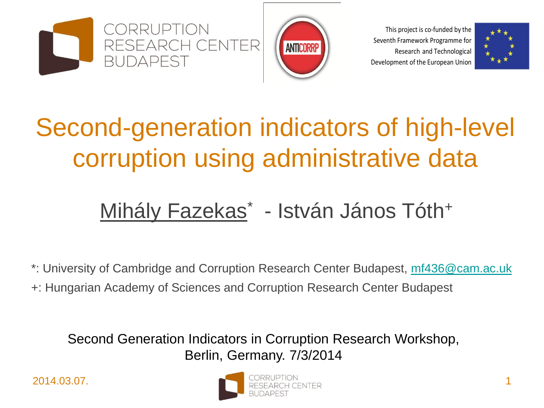



This project is co-funded by the Seventh Framework Programme for Research and Technological Development of the European Union



#### Second-generation indicators of high-level corruption using administrative data

#### Mihály Fazekas\* - István János Tóth+

\*: University of Cambridge and Corruption Research Center Budapest, [mf436@cam.ac.uk](mailto:mf436@cam.ac.uk)

+: Hungarian Academy of Sciences and Corruption Research Center Budapest

Second Generation Indicators in Corruption Research Workshop, Berlin, Germany. 7/3/2014

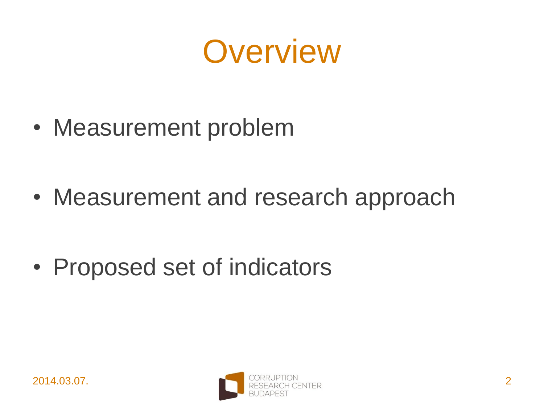

• Measurement problem

• Measurement and research approach

• Proposed set of indicators

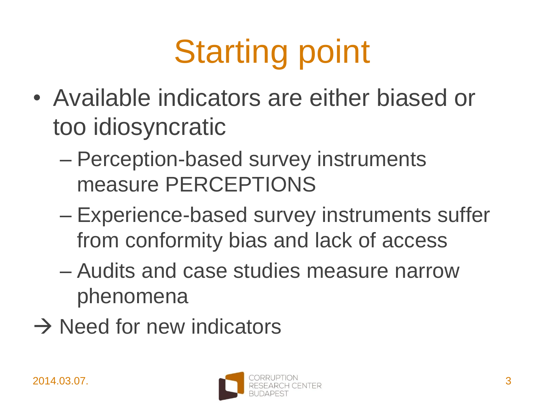# Starting point

- Available indicators are either biased or too idiosyncratic
	- Perception-based survey instruments measure PERCEPTIONS
	- Experience-based survey instruments suffer from conformity bias and lack of access
	- Audits and case studies measure narrow phenomena
- $\rightarrow$  Need for new indicators

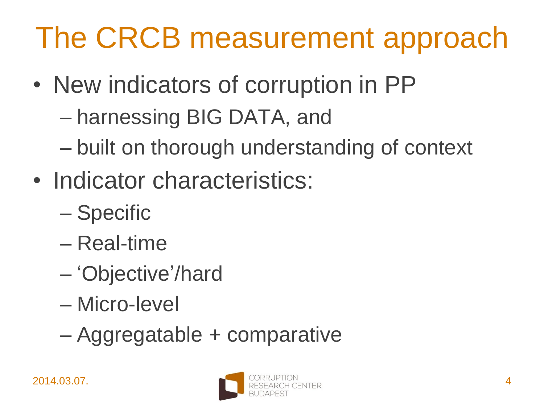#### The CRCB measurement approach

- New indicators of corruption in PP
	- harnessing BIG DATA, and
	- built on thorough understanding of context
- Indicator characteristics:
	- Specific
	- Real-time
	- 'Objective'/hard
	- Micro-level
	- Aggregatable + comparative

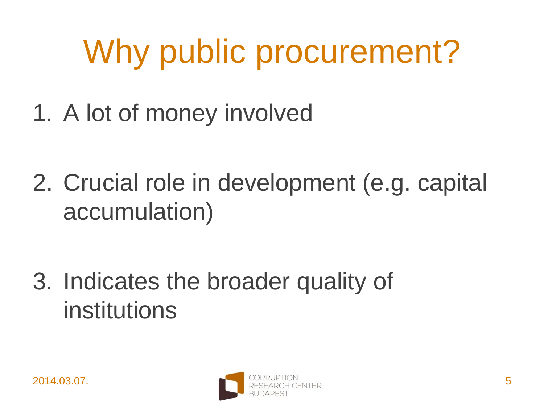## Why public procurement?

- 1. A lot of money involved
- 2. Crucial role in development (e.g. capital accumulation)
- 3. Indicates the broader quality of institutions

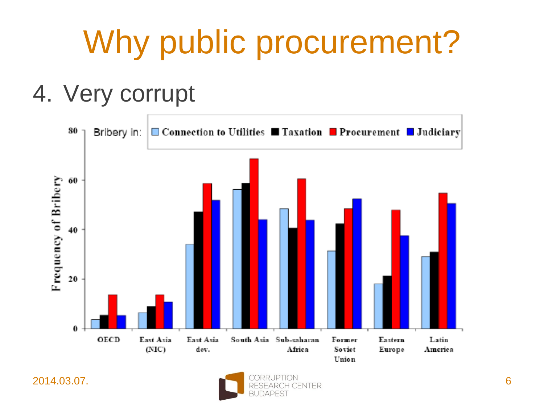## Why public procurement?

#### 4. Very corrupt



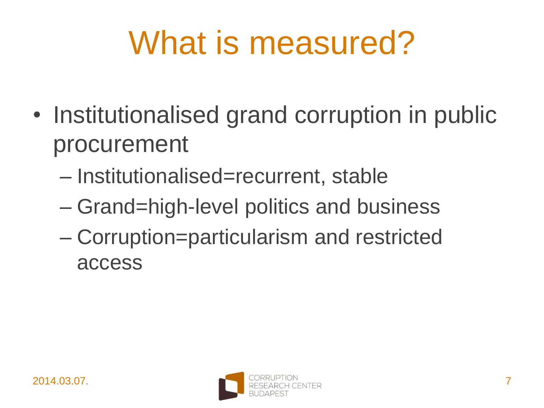#### What is measured?

- Institutionalised grand corruption in public procurement
	- Institutionalised=recurrent, stable
	- Grand=high-level politics and business
	- Corruption=particularism and restricted access

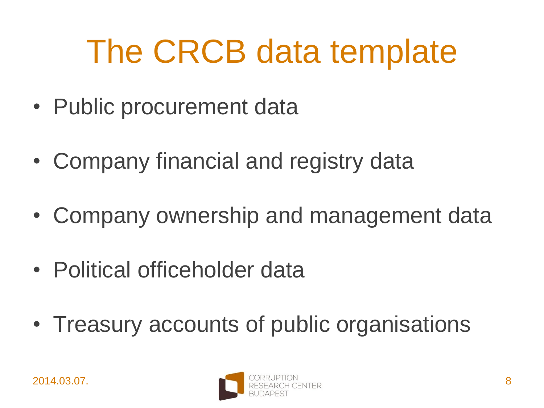#### The CRCB data template

- Public procurement data
- Company financial and registry data
- Company ownership and management data
- Political officeholder data
- Treasury accounts of public organisations

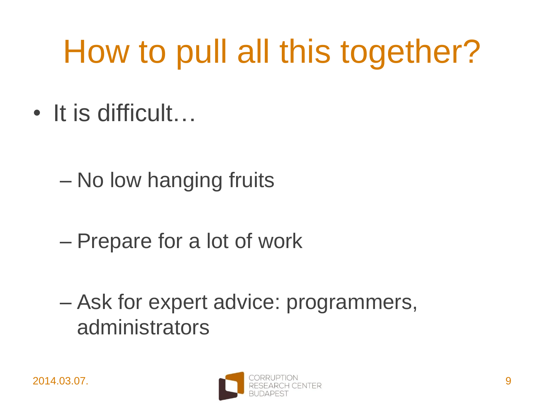## How to pull all this together?

- It is difficult…
	- No low hanging fruits
	- Prepare for a lot of work
	- Ask for expert advice: programmers, administrators

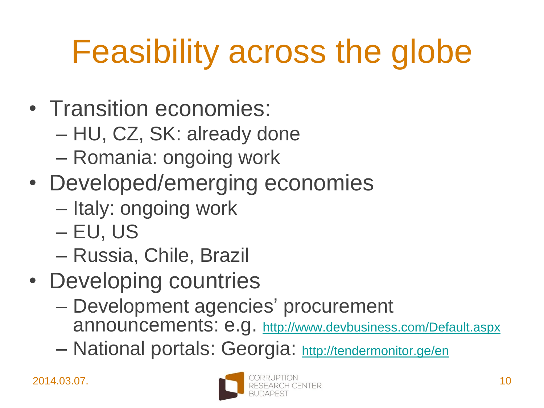## Feasibility across the globe

- Transition economies:
	- HU, CZ, SK: already done
	- Romania: ongoing work
- Developed/emerging economies
	- Italy: ongoing work
	- EU, US
	- Russia, Chile, Brazil
- Developing countries
	- Development agencies' procurement announcements: e.g. <http://www.devbusiness.com/Default.aspx>
	- National portals: Georgia: <http://tendermonitor.ge/en>

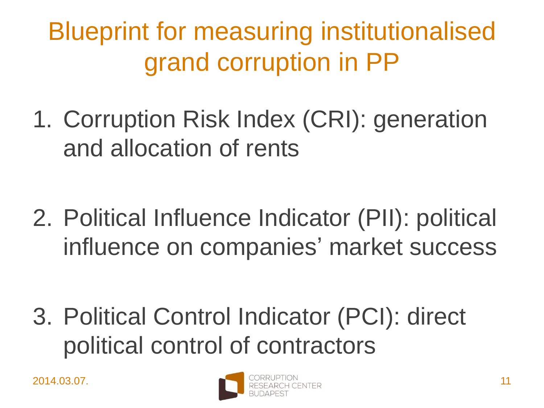Blueprint for measuring institutionalised grand corruption in PP

- 1. Corruption Risk Index (CRI): generation and allocation of rents
- 2. Political Influence Indicator (PII): political influence on companies' market success

3. Political Control Indicator (PCI): direct political control of contractors

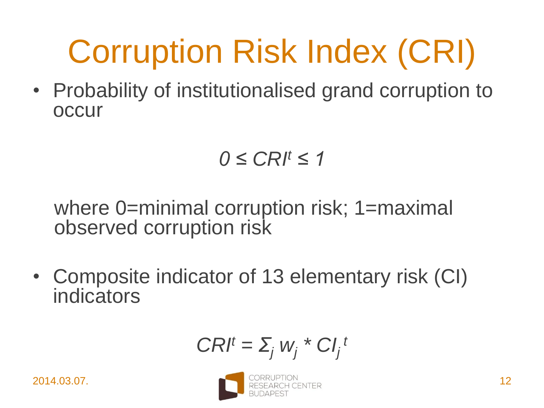## Corruption Risk Index (CRI)

• Probability of institutionalised grand corruption to occur

$$
0\leq C R l^t \leq 1
$$

where 0=minimal corruption risk; 1=maximal observed corruption risk

• Composite indicator of 13 elementary risk (CI) indicators

$$
CRI^t = \sum_j w_j^* C I_j^t
$$

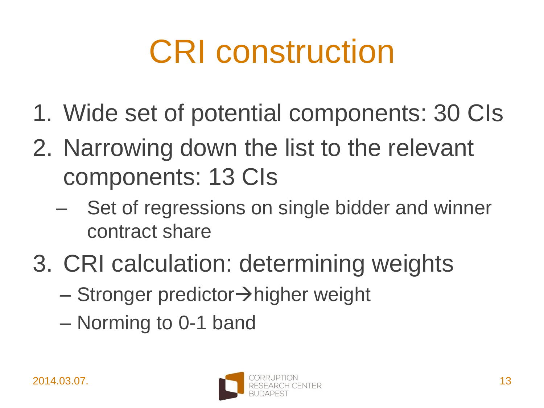## CRI construction

- 1. Wide set of potential components: 30 CIs
- 2. Narrowing down the list to the relevant components: 13 CIs
	- Set of regressions on single bidder and winner contract share
- 3. CRI calculation: determining weights
	- $-$  Stronger predictor $\rightarrow$ higher weight
	- Norming to 0-1 band

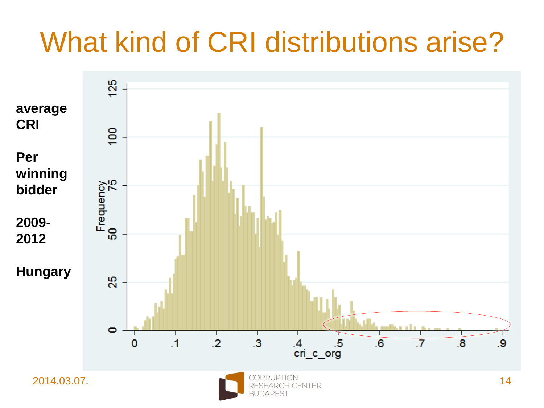#### What kind of CRI distributions arise?

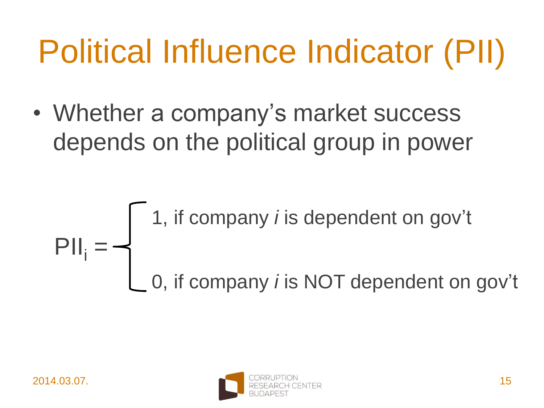## Political Influence Indicator (PII)

• Whether a company's market success depends on the political group in power

$$
PII_i = \begin{cases} 1, & \text{if company } i \text{ is dependent on gov't} \\ 0, & \text{if company } i \text{ is NOT dependent on gov't} \end{cases}
$$

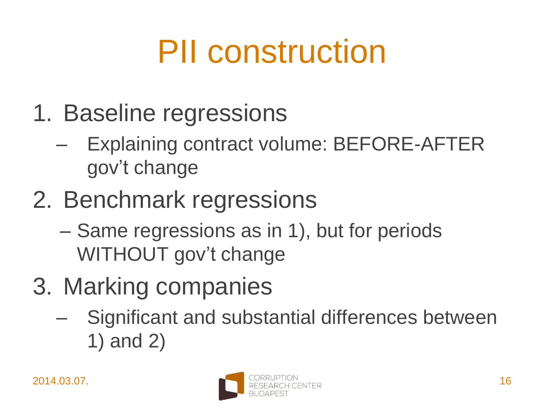## PII construction

- 1. Baseline regressions
	- Explaining contract volume: BEFORE-AFTER gov't change
- 2. Benchmark regressions
	- Same regressions as in 1), but for periods WITHOUT gov't change
- 3. Marking companies
	- Significant and substantial differences between 1) and 2)

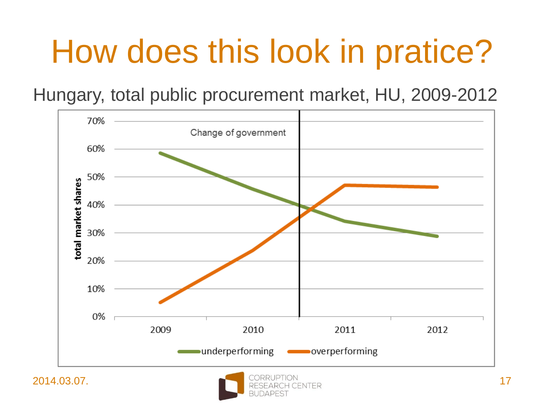#### How does this look in pratice?

Hungary, total public procurement market, HU, 2009-2012



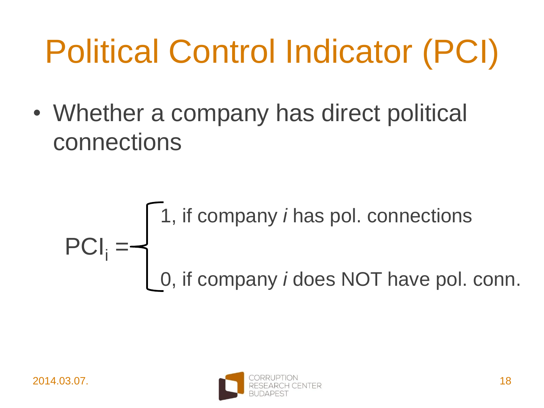## Political Control Indicator (PCI)

• Whether a company has direct political connections

$$
PCIi = \begin{cases} 1, & \text{if company } i \text{ has pol. connections} \\ 0, & \text{if company } i \text{ does NOT have pol. conn.} \end{cases}
$$

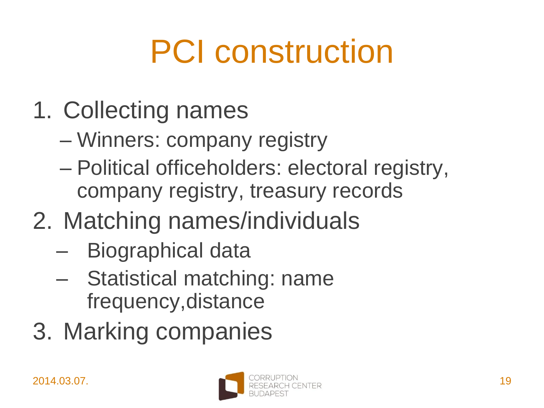## PCI construction

- 1. Collecting names
	- Winners: company registry
	- Political officeholders: electoral registry, company registry, treasury records
- 2. Matching names/individuals
	- Biographical data
	- Statistical matching: name frequency,distance
- 3. Marking companies

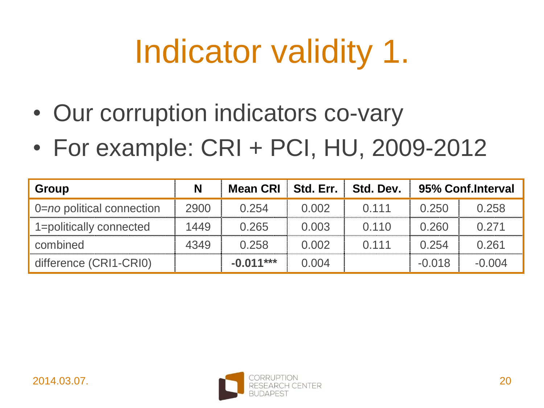## Indicator validity 1.

- Our corruption indicators co-vary
- For example: CRI + PCI, HU, 2009-2012

| Group                     | N    | <b>Mean CRI</b> | Std. Err. | Std. Dev. | 95% Conf.Interval |          |
|---------------------------|------|-----------------|-----------|-----------|-------------------|----------|
| 0=no political connection | 2900 | 0.254           | 0.002     | 0.111     | 0.250             | 0.258    |
| 1=politically connected   | 1449 | 0.265           | 0.003     | 0.110     | 0.260             | 0.271    |
| combined                  | 4349 | 0.258           | 0.002     | 0.111     | 0.254             | 0.261    |
| difference (CRI1-CRI0)    |      | $-0.011***$     | 0.004     |           | $-0.018$          | $-0.004$ |

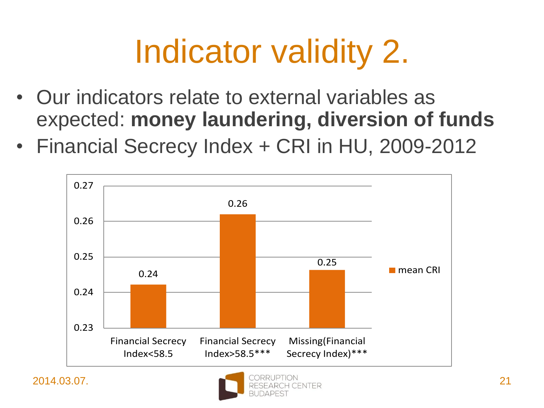## Indicator validity 2.

- Our indicators relate to external variables as expected: **money laundering, diversion of funds**
- Financial Secrecy Index + CRI in HU, 2009-2012



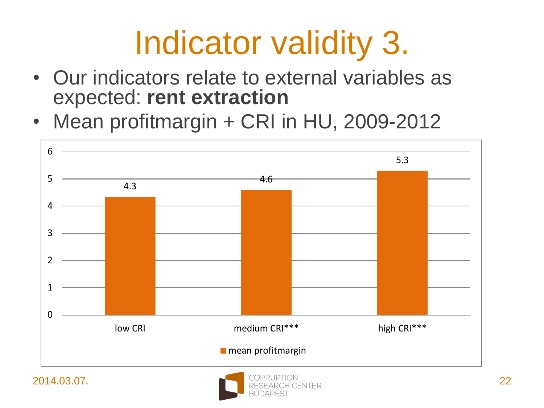#### Indicator validity 3.

- Our indicators relate to external variables as expected: **rent extraction**
- Mean profitmargin + CRI in HU, 2009-2012



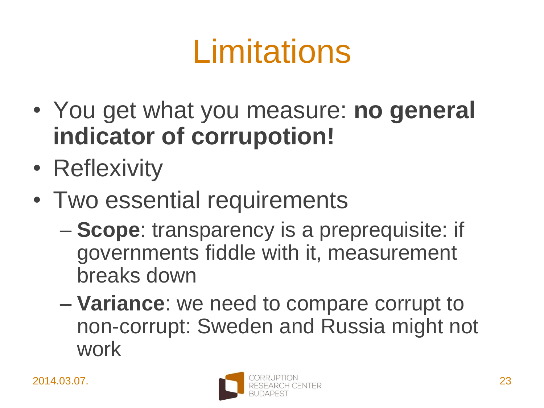## Limitations

- You get what you measure: **no general indicator of corrupotion!**
- Reflexivity
- Two essential requirements
	- **Scope**: transparency is a preprequisite: if governments fiddle with it, measurement breaks down
	- **Variance**: we need to compare corrupt to non-corrupt: Sweden and Russia might not work

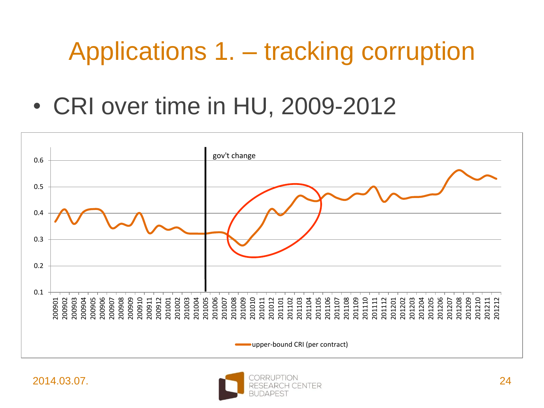#### Applications 1. – tracking corruption

• CRI over time in HU, 2009-2012



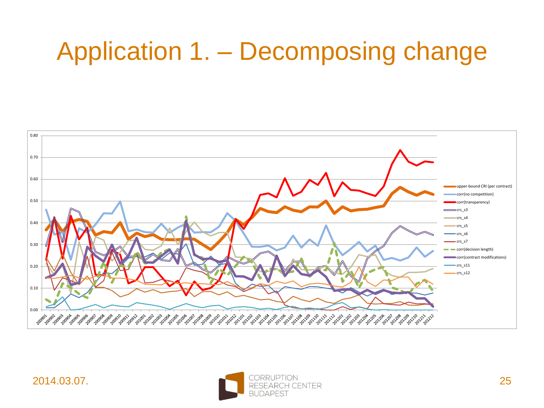#### Application 1. – Decomposing change



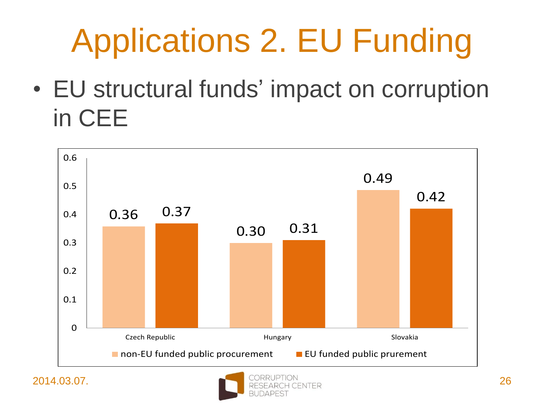## Applications 2. EU Funding

• EU structural funds' impact on corruption in CEE



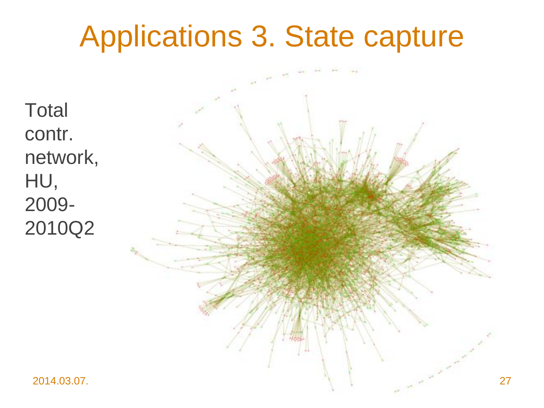#### Applications 3. State capture

**Total** contr. network, HU, 2009- 2010Q2

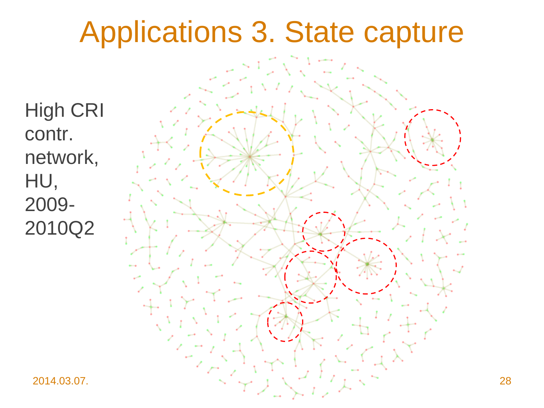#### Applications 3. State capture

High CRI contr. network, HU, 2009- 2010Q2

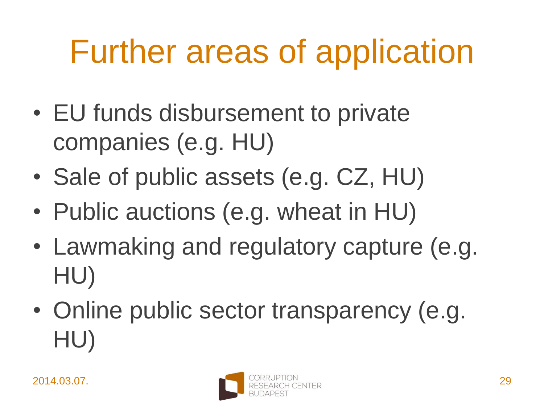#### Further areas of application

- EU funds disbursement to private companies (e.g. HU)
- Sale of public assets (e.g. CZ, HU)
- Public auctions (e.g. wheat in HU)
- Lawmaking and regulatory capture (e.g. HU)
- Online public sector transparency (e.g. HU)

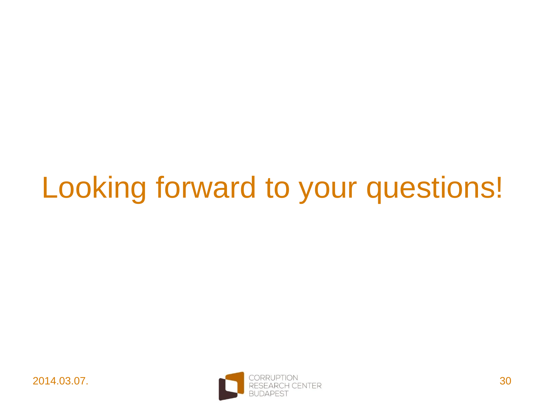#### Looking forward to your questions!

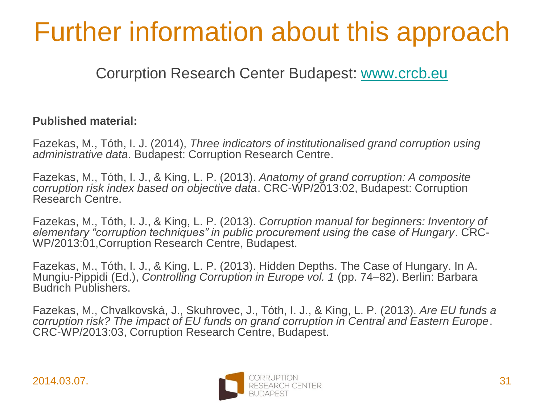#### Further information about this approach

Corurption Research Center Budapest: [www.crcb.eu](http://www.crcb.eu/)

#### **Published material:**

Fazekas, M., Tóth, I. J. (2014), *Three indicators of institutionalised grand corruption using administrative data*. Budapest: Corruption Research Centre.

Fazekas, M., Tóth, I. J., & King, L. P. (2013). *Anatomy of grand corruption: A composite corruption risk index based on objective data*. CRC-WP/2013:02, Budapest: Corruption Research Centre.

Fazekas, M., Tóth, I. J., & King, L. P. (2013). *Corruption manual for beginners: Inventory of elementary "corruption techniques" in public procurement using the case of Hungary*. CRC-WP/2013:01,Corruption Research Centre, Budapest.

Fazekas, M., Tóth, I. J., & King, L. P. (2013). Hidden Depths. The Case of Hungary. In A. Mungiu-Pippidi (Ed.), *Controlling Corruption in Europe vol. 1* (pp. 74–82). Berlin: Barbara Budrich Publishers.

Fazekas, M., Chvalkovská, J., Skuhrovec, J., Tóth, I. J., & King, L. P. (2013). *Are EU funds a corruption risk? The impact of EU funds on grand corruption in Central and Eastern Europe*. CRC-WP/2013:03, Corruption Research Centre, Budapest.

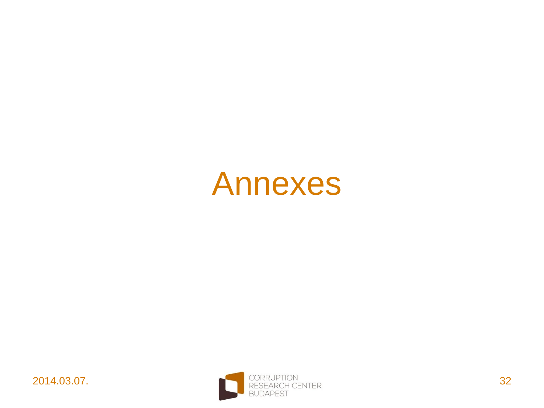#### Annexes

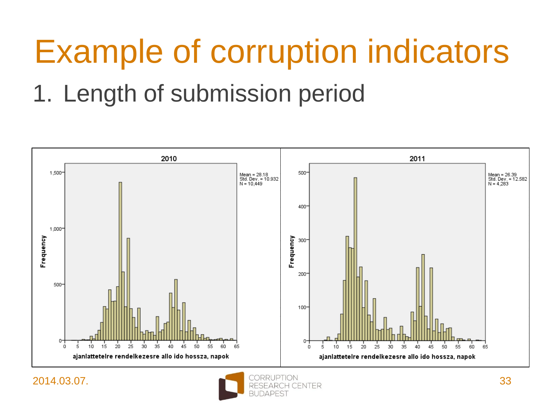#### Example of corruption indicators

#### 1. Length of submission period



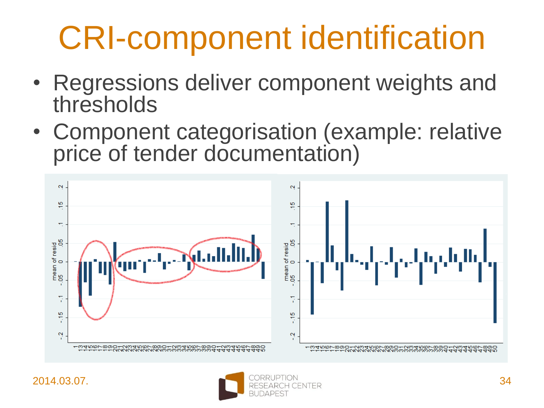## CRI-component identification

- Regressions deliver component weights and thresholds
- Component categorisation (example: relative price of tender documentation)



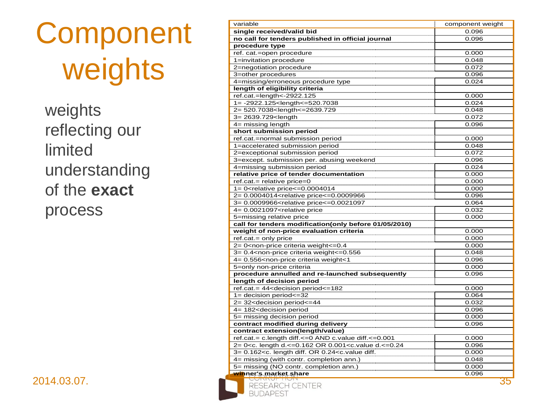#### Component weights



|                     | variable                                                                                                    | component weight |
|---------------------|-------------------------------------------------------------------------------------------------------------|------------------|
| Component           | single received/valid bid                                                                                   | 0.096            |
|                     | no call for tenders published in official journal                                                           | 0.096            |
|                     | procedure type                                                                                              |                  |
| weights             | ref. cat.=open procedure                                                                                    | 0.000            |
|                     | 1=invitation procedure                                                                                      | 0.048            |
|                     | 2=negotiation procedure                                                                                     | 0.072            |
|                     | 3=other procedures                                                                                          | 0.096            |
|                     | 4=missing/erroneous procedure type                                                                          | 0.024            |
|                     | length of eligibility criteria                                                                              |                  |
|                     | ref.cat.=length<-2922.125                                                                                   | 0.000            |
|                     | 1= -2922.125 <length<=520.7038< td=""><td>0.024</td></length<=520.7038<>                                    | 0.024            |
| weights             | 2= 520.7038 <length<=2639.729< td=""><td>0.048</td></length<=2639.729<>                                     | 0.048            |
|                     | 3= 2639.729 <length< td=""><td>0.072</td></length<>                                                         | 0.072            |
| reflecting our      | $4=$ missing length                                                                                         | 0.096            |
|                     | short submission period<br>ref.cat.=normal submission period                                                | 0.000            |
|                     | 1=accelerated submission period                                                                             | 0.048            |
| limited             | 2=exceptional submission period                                                                             | 0.072            |
|                     | 3=except. submission per. abusing weekend                                                                   | 0.096            |
|                     | 4=missing submission period                                                                                 | 0.024            |
| understanding       | relative price of tender documentation                                                                      | 0.000            |
|                     | $ref.cat = relative price = 0$                                                                              | 0.000            |
| of the <b>exact</b> | 1= 0 <relative <="&lt;math" price="">0.0004014</relative>                                                   | 0.000            |
|                     | 2= 0.0004014 <relative price<="0.0009966&lt;/td"><td>0.096</td></relative>                                  | 0.096            |
|                     | 3= 0.0009966 <relative price<="0.0021097&lt;/td"><td>0.064</td></relative>                                  | 0.064            |
| process             | 4= 0.0021097 <relative price<="" td=""><td>0.032</td></relative>                                            | 0.032            |
|                     | 5=missing relative price                                                                                    | 0.000            |
|                     | call for tenders modification(only before 01/05/2010)                                                       |                  |
|                     | weight of non-price evaluation criteria                                                                     | 0.000            |
|                     | $ref.cat = only price$                                                                                      | 0.000            |
|                     | 2= 0 <non-price criteria="" weight<="0.4&lt;/td"><td>0.000</td></non-price>                                 | 0.000            |
|                     | 3= 0.4 <non-price criteria="" weight<="0.556&lt;/td"><td>0.048</td></non-price>                             | 0.048            |
|                     | 4= 0.556 <non-price criteria="" td="" weight<1<=""><td>0.096</td></non-price>                               | 0.096            |
|                     | 5=only non-price criteria                                                                                   | 0.000            |
|                     | procedure annulled and re-launched subsequently                                                             | 0.096            |
|                     | length of decision period                                                                                   |                  |
|                     | ref.cat.= 44 <decision period<="182&lt;/td"><td>0.000</td></decision>                                       | 0.000            |
|                     | $1 =$ decision period $\leq$ =32<br>2= 32 <decision period<="44&lt;/td"><td>0.064<br/>0.032</td></decision> | 0.064<br>0.032   |
|                     | 4= 182 <decision period<="" td=""><td>0.096</td></decision>                                                 | 0.096            |
|                     | 5= missing decision period                                                                                  | 0.000            |
|                     | contract modified during delivery                                                                           | 0.096            |
|                     | contract extension(length/value)                                                                            |                  |
|                     | ref.cat.= c.length diff.<=0 AND c.value diff.<=0.001                                                        | 0.000            |
|                     | 2= 0 <c. 0.001<c.value="" d.<="0.24&lt;/td" length="" or=""><td>0.096</td></c.>                             | 0.096            |
|                     | $3 = 0.162 < c$ . length diff. OR 0.24 $<$ c. value diff.                                                   | 0.000            |
|                     | 4= missing (with contr. completion ann.)                                                                    | 0.048            |
|                     | 5= missing (NO contr. completion ann.)                                                                      | 0.000            |
|                     | winner's market share                                                                                       | 0.096            |
| 2014.03.07.         | RESEARCH CENTER<br><b>BUDAPEST</b>                                                                          | 35               |